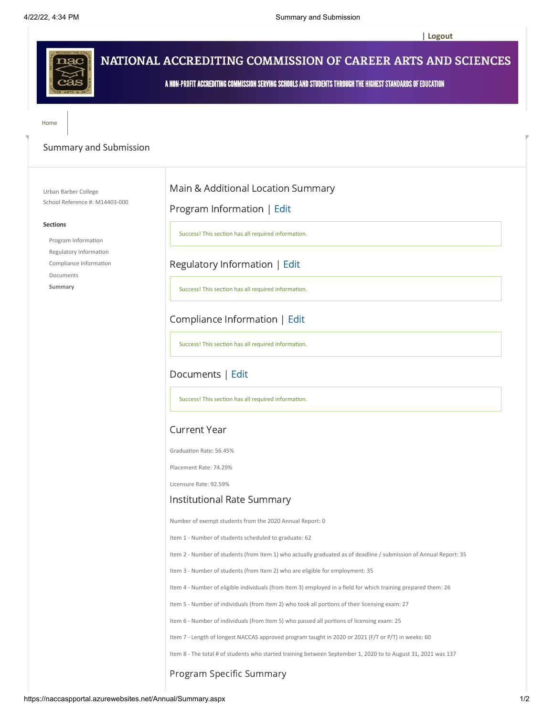**[| Logout](https://naccaspportal.azurewebsites.net/default.aspx)**